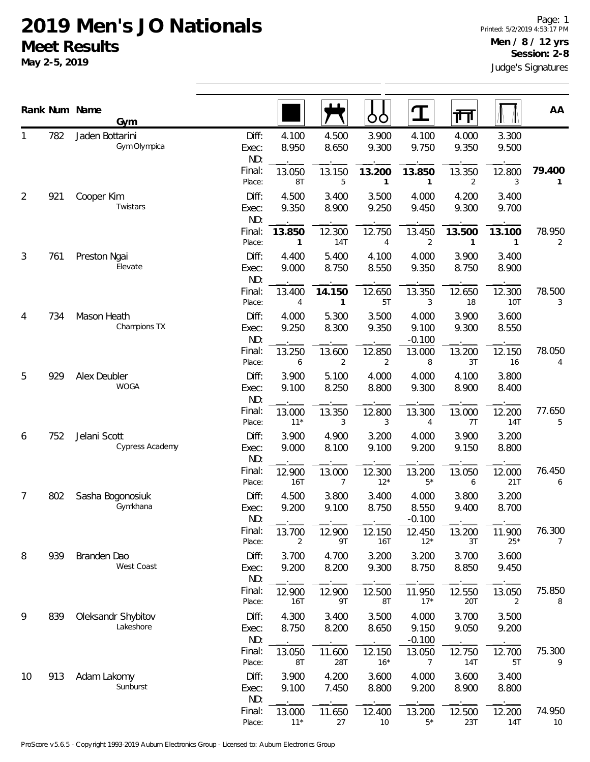|    |     | Rank Num Name<br>Gym            |                       |                 |                | OO                     |                            | गेग            |                 | AA                       |
|----|-----|---------------------------------|-----------------------|-----------------|----------------|------------------------|----------------------------|----------------|-----------------|--------------------------|
| 1  | 782 | Jaden Bottarini<br>Gym Olympica | Diff:<br>Exec:<br>ND: | 4.100<br>8.950  | 4.500<br>8.650 | 3.900<br>9.300         | 4.100<br>9.750             | 4.000<br>9.350 | 3.300<br>9.500  |                          |
|    |     |                                 | Final:<br>Place:      | 13.050<br>8T    | 13.150<br>5    | 13.200<br>$\mathbf{1}$ | 13.850<br>1                | 13.350<br>2    | 12.800<br>3     | 79.400<br>1              |
| 2  | 921 | Cooper Kim<br>Twistars          | Diff:<br>Exec:<br>ND: | 4.500<br>9.350  | 3.400<br>8.900 | 3.500<br>9.250         | 4.000<br>9.450             | 4.200<br>9.300 | 3.400<br>9.700  |                          |
|    |     |                                 | Final:<br>Place:      | 13.850<br>1     | 12.300<br>14T  | 12.750<br>4            | 13.450<br>$\overline{2}$   | 13.500         | 13.100<br>1     | 78.950<br>$\overline{2}$ |
| 3  | 761 | Preston Ngai<br>Elevate         | Diff:<br>Exec:<br>ND: | 4.400<br>9.000  | 5.400<br>8.750 | 4.100<br>8.550         | 4.000<br>9.350             | 3.900<br>8.750 | 3.400<br>8.900  |                          |
|    |     |                                 | Final:<br>Place:      | 13.400<br>4     | 14.150<br>1    | 12.650<br>5T           | 13.350<br>3                | 12.650<br>18   | 12.300<br>10T   | 78.500<br>3              |
| 4  | 734 | Mason Heath<br>Champions TX     | Diff:<br>Exec:<br>ND: | 4.000<br>9.250  | 5.300<br>8.300 | 3.500<br>9.350         | 4.000<br>9.100<br>$-0.100$ | 3.900<br>9.300 | 3.600<br>8.550  |                          |
|    |     |                                 | Final:<br>Place:      | 13.250<br>6     | 13.600<br>2    | 12.850<br>2            | 13.000<br>8                | 13.200<br>3T   | 12.150<br>16    | 78.050<br>4              |
| 5  | 929 | Alex Deubler<br><b>WOGA</b>     | Diff:<br>Exec:<br>ND: | 3.900<br>9.100  | 5.100<br>8.250 | 4.000<br>8.800         | 4.000<br>9.300             | 4.100<br>8.900 | 3.800<br>8.400  |                          |
|    |     |                                 | Final:<br>Place:      | 13.000<br>$11*$ | 13.350<br>3    | 12.800<br>3            | 13.300<br>4                | 13.000<br>7T   | 12.200<br>14T   | 77.650<br>5              |
| 6  | 752 | Jelani Scott<br>Cypress Academy | Diff:<br>Exec:<br>ND: | 3.900<br>9.000  | 4.900<br>8.100 | 3.200<br>9.100         | 4.000<br>9.200             | 3.900<br>9.150 | 3.200<br>8.800  |                          |
|    |     |                                 | Final:<br>Place:      | 12.900<br>16T   | 13.000<br>7    | 12.300<br>$12*$        | 13.200<br>$5*$             | 13.050<br>6    | 12.000<br>21T   | 76.450<br>6              |
| 7  | 802 | Sasha Bogonosiuk<br>Gymkhana    | Diff:<br>Exec:<br>ND: | 4.500<br>9.200  | 3.800<br>9.100 | 3.400<br>8.750         | 4.000<br>8.550<br>$-0.100$ | 3.800<br>9.400 | 3.200<br>8.700  |                          |
|    |     |                                 | Final:<br>Place:      | 13.700<br>2     | 12.900<br>9Τ   | 12.150<br>16T          | 12.450<br>$12*$            | 13.200<br>3T   | 11.900<br>$25*$ | 76.300<br>$\overline{7}$ |
| 8  | 939 | Branden Dao<br>West Coast       | Diff:<br>Exec:<br>ND: | 3.700<br>9.200  | 4.700<br>8.200 | 3.200<br>9.300         | 3.200<br>8.750             | 3.700<br>8.850 | 3.600<br>9.450  |                          |
|    |     |                                 | Final:<br>Place:      | 12.900<br>16T   | 12.900<br>9T   | 12.500<br>8T           | 11.950<br>$17*$            | 12.550<br>20T  | 13.050<br>2     | 75.850<br>8              |
| 9  | 839 | Oleksandr Shybitov<br>Lakeshore | Diff:<br>Exec:<br>ND: | 4.300<br>8.750  | 3.400<br>8.200 | 3.500<br>8.650         | 4.000<br>9.150<br>$-0.100$ | 3.700<br>9.050 | 3.500<br>9.200  |                          |
|    |     |                                 | Final:<br>Place:      | 13.050<br>8T    | 11.600<br>28T  | 12.150<br>$16*$        | 13.050<br>7                | 12.750<br>14T  | 12.700<br>5T    | 75.300<br>9              |
| 10 | 913 | Adam Lakomy<br>Sunburst         | Diff:<br>Exec:<br>ND: | 3.900<br>9.100  | 4.200<br>7.450 | 3.600<br>8.800         | 4.000<br>9.200             | 3.600<br>8.900 | 3.400<br>8.800  |                          |
|    |     |                                 | Final:<br>Place:      | 13.000<br>$11*$ | 11.650<br>27   | 12.400<br>$10$         | 13.200<br>$5^{\star}$      | 12.500<br>23T  | 12.200<br>14T   | 74.950<br>10             |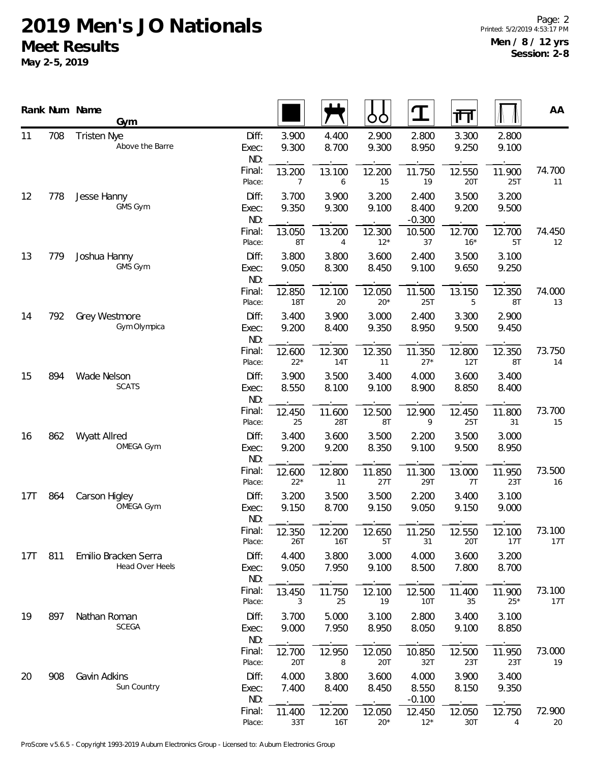|     |     | Rank Num Name<br>Gym                           |                       |                 |                | ŌÒ              | $\mathbf T$                | 帀               |                 | AA            |
|-----|-----|------------------------------------------------|-----------------------|-----------------|----------------|-----------------|----------------------------|-----------------|-----------------|---------------|
| 11  | 708 | <b>Tristen Nye</b><br>Above the Barre          | Diff:<br>Exec:<br>ND: | 3.900<br>9.300  | 4.400<br>8.700 | 2.900<br>9.300  | 2.800<br>8.950             | 3.300<br>9.250  | 2.800<br>9.100  |               |
|     |     |                                                | Final:<br>Place:      | 13.200<br>7     | 13.100<br>6    | 12.200<br>15    | 11.750<br>19               | 12.550<br>20T   | 11.900<br>25T   | 74.700<br>11  |
| 12  | 778 | Jesse Hanny<br>GMS Gym                         | Diff:<br>Exec:<br>ND: | 3.700<br>9.350  | 3.900<br>9.300 | 3.200<br>9.100  | 2.400<br>8.400<br>$-0.300$ | 3.500<br>9.200  | 3.200<br>9.500  |               |
|     |     |                                                | Final:<br>Place:      | 13.050<br>8T    | 13.200<br>4    | 12.300<br>$12*$ | 10.500<br>37               | 12.700<br>$16*$ | 12.700<br>5T    | 74.450<br>12  |
| 13  | 779 | Joshua Hanny<br>GMS Gym                        | Diff:<br>Exec:<br>ND: | 3.800<br>9.050  | 3.800<br>8.300 | 3.600<br>8.450  | 2.400<br>9.100             | 3.500<br>9.650  | 3.100<br>9.250  |               |
|     |     |                                                | Final:<br>Place:      | 12.850<br>18T   | 12.100<br>20   | 12.050<br>$20*$ | 11.500<br>25T              | 13.150<br>5     | 12.350<br>8T    | 74.000<br>13  |
| 14  | 792 | Grey Westmore<br>Gym Olympica                  | Diff:<br>Exec:<br>ND: | 3.400<br>9.200  | 3.900<br>8.400 | 3.000<br>9.350  | 2.400<br>8.950             | 3.300<br>9.500  | 2.900<br>9.450  |               |
|     |     |                                                | Final:<br>Place:      | 12.600<br>$22*$ | 12.300<br>14T  | 12.350<br>11    | 11.350<br>$27*$            | 12.800<br>12T   | 12.350<br>8T    | 73.750<br>14  |
| 15  | 894 | Wade Nelson<br><b>SCATS</b>                    | Diff:<br>Exec:<br>ND: | 3.900<br>8.550  | 3.500<br>8.100 | 3.400<br>9.100  | 4.000<br>8.900             | 3.600<br>8.850  | 3.400<br>8.400  |               |
|     |     |                                                | Final:<br>Place:      | 12.450<br>25    | 11.600<br>28T  | 12.500<br>8T    | 12.900<br>9                | 12.450<br>25T   | 11.800<br>31    | 73.700<br>15  |
| 16  | 862 | Wyatt Allred<br>OMEGA Gym                      | Diff:<br>Exec:<br>ND: | 3.400<br>9.200  | 3.600<br>9.200 | 3.500<br>8.350  | 2.200<br>9.100             | 3.500<br>9.500  | 3.000<br>8.950  |               |
|     |     |                                                | Final:<br>Place:      | 12.600<br>$22*$ | 12.800<br>11   | 11.850<br>27T   | 11.300<br>29T              | 13.000<br>7T    | 11.950<br>23T   | 73.500<br>16  |
| 17T | 864 | Carson Higley<br>OMEGA Gym                     | Diff:<br>Exec:<br>ND: | 3.200<br>9.150  | 3.500<br>8.700 | 3.500<br>9.150  | 2.200<br>9.050             | 3.400<br>9.150  | 3.100<br>9.000  |               |
|     |     |                                                | Final:<br>Place:      | 12.350<br>26T   | 12.200<br>16T  | 12.650<br>5T    | 11.250<br>31               | 12.550<br>20T   | 12.100<br>17T   | 73.100<br>17T |
| 17T | 811 | Emilio Bracken Serra<br><b>Head Over Heels</b> | Diff:<br>Exec:<br>ND: | 4.400<br>9.050  | 3.800<br>7.950 | 3.000<br>9.100  | 4.000<br>8.500             | 3.600<br>7.800  | 3.200<br>8.700  |               |
|     |     |                                                | Final:<br>Place:      | 13.450<br>3     | 11.750<br>25   | 12.100<br>19    | 12.500<br>10T              | 11.400<br>35    | 11.900<br>$25*$ | 73.100<br>17T |
| 19  | 897 | Nathan Roman<br><b>SCEGA</b>                   | Diff:<br>Exec:<br>ND: | 3.700<br>9.000  | 5.000<br>7.950 | 3.100<br>8.950  | 2.800<br>8.050             | 3.400<br>9.100  | 3.100<br>8.850  |               |
|     |     |                                                | Final:<br>Place:      | 12.700<br>20T   | 12.950<br>8    | 12.050<br>20T   | 10.850<br>32T              | 12.500<br>23T   | 11.950<br>23T   | 73.000<br>19  |
| 20  | 908 | Gavin Adkins<br>Sun Country                    | Diff:<br>Exec:<br>ND: | 4.000<br>7.400  | 3.800<br>8.400 | 3.600<br>8.450  | 4.000<br>8.550<br>$-0.100$ | 3.900<br>8.150  | 3.400<br>9.350  |               |
|     |     |                                                | Final:<br>Place:      | 11.400<br>33T   | 12.200<br>16T  | 12.050<br>$20*$ | 12.450<br>$12*$            | 12.050<br>30T   | 12.750<br>4     | 72.900<br>20  |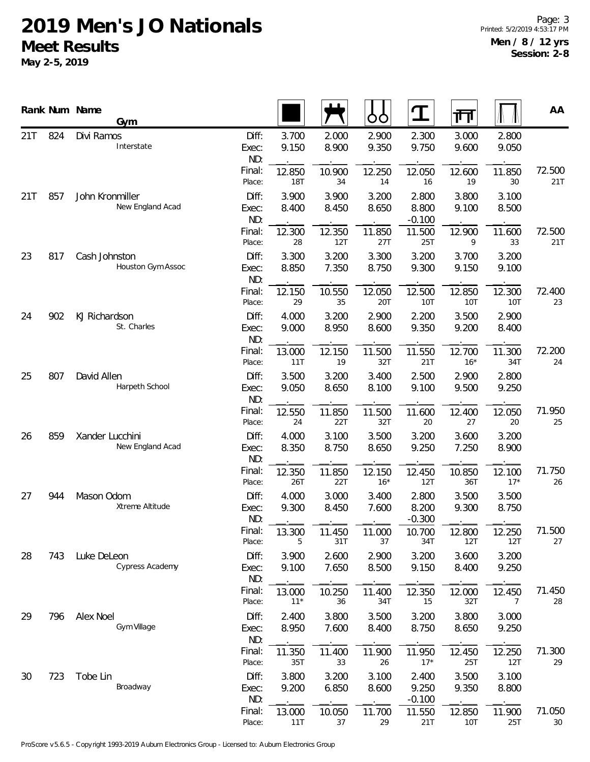|     |     | Rank Num Name<br>Gym                |                       |                 |                | ŌÒ              | $\mathbf T$                | 襾               |                      | AA            |
|-----|-----|-------------------------------------|-----------------------|-----------------|----------------|-----------------|----------------------------|-----------------|----------------------|---------------|
| 21T | 824 | Divi Ramos<br>Interstate            | Diff:<br>Exec:<br>ND: | 3.700<br>9.150  | 2.000<br>8.900 | 2.900<br>9.350  | 2.300<br>9.750             | 3.000<br>9.600  | 2.800<br>9.050       |               |
|     |     |                                     | Final:<br>Place:      | 12.850<br>18T   | 10.900<br>34   | 12.250<br>14    | 12.050<br>16               | 12.600<br>19    | 11.850<br>30         | 72.500<br>21T |
| 21T | 857 | John Kronmiller<br>New England Acad | Diff:<br>Exec:<br>ND: | 3.900<br>8.400  | 3.900<br>8.450 | 3.200<br>8.650  | 2.800<br>8.800<br>$-0.100$ | 3.800<br>9.100  | 3.100<br>8.500       |               |
|     |     |                                     | Final:<br>Place:      | 12.300<br>28    | 12.350<br>12T  | 11.850<br>27T   | 11.500<br>25T              | 12.900<br>9     | 11.600<br>33         | 72.500<br>21T |
| 23  | 817 | Cash Johnston<br>Houston Gym Assoc  | Diff:<br>Exec:<br>ND: | 3.300<br>8.850  | 3.200<br>7.350 | 3.300<br>8.750  | 3.200<br>9.300             | 3.700<br>9.150  | 3.200<br>9.100       |               |
|     |     |                                     | Final:<br>Place:      | 12.150<br>29    | 10.550<br>35   | 12.050<br>20T   | 12.500<br><b>10T</b>       | 12.850<br>10T   | 12.300<br><b>10T</b> | 72.400<br>23  |
| 24  | 902 | KJ Richardson<br>St. Charles        | Diff:<br>Exec:<br>ND: | 4.000<br>9.000  | 3.200<br>8.950 | 2.900<br>8.600  | 2.200<br>9.350             | 3.500<br>9.200  | 2.900<br>8.400       |               |
|     |     |                                     | Final:<br>Place:      | 13.000<br>11T   | 12.150<br>19   | 11.500<br>32T   | 11.550<br>21T              | 12.700<br>$16*$ | 11.300<br>34T        | 72.200<br>24  |
| 25  | 807 | David Allen<br>Harpeth School       | Diff:<br>Exec:<br>ND: | 3.500<br>9.050  | 3.200<br>8.650 | 3.400<br>8.100  | 2.500<br>9.100             | 2.900<br>9.500  | 2.800<br>9.250       |               |
|     |     |                                     | Final:<br>Place:      | 12.550<br>24    | 11.850<br>22T  | 11.500<br>32T   | 11.600<br>20               | 12.400<br>27    | 12.050<br>20         | 71.950<br>25  |
| 26  | 859 | Xander Lucchini<br>New England Acad | Diff:<br>Exec:<br>ND: | 4.000<br>8.350  | 3.100<br>8.750 | 3.500<br>8.650  | 3.200<br>9.250             | 3.600<br>7.250  | 3.200<br>8.900       |               |
|     |     |                                     | Final:<br>Place:      | 12.350<br>26T   | 11.850<br>22T  | 12.150<br>$16*$ | 12.450<br>12T              | 10.850<br>36T   | 12.100<br>$17*$      | 71.750<br>26  |
| 27  | 944 | Mason Odom<br>Xtreme Altitude       | Diff:<br>Exec:<br>ND: | 4.000<br>9.300  | 3.000<br>8.450 | 3.400<br>7.600  | 2.800<br>8.200<br>$-0.300$ | 3.500<br>9.300  | 3.500<br>8.750       |               |
|     |     |                                     | Final:<br>Place:      | 13.300<br>5     | 11.450<br>31T  | 11.000<br>37    | 10.700<br>34T              | 12.800<br>12T   | 12.250<br>12T        | 71.500<br>27  |
| 28  | 743 | Luke DeLeon<br>Cypress Academy      | Diff:<br>Exec:<br>ND: | 3.900<br>9.100  | 2.600<br>7.650 | 2.900<br>8.500  | 3.200<br>9.150             | 3.600<br>8.400  | 3.200<br>9.250       |               |
|     |     |                                     | Final:<br>Place:      | 13.000<br>$11*$ | 10.250<br>36   | 11.400<br>34T   | 12.350<br>15               | 12.000<br>32T   | 12.450<br>7          | 71.450<br>28  |
| 29  | 796 | Alex Noel<br>Gym Village            | Diff:<br>Exec:<br>ND: | 2.400<br>8.950  | 3.800<br>7.600 | 3.500<br>8.400  | 3.200<br>8.750             | 3.800<br>8.650  | 3.000<br>9.250       |               |
|     |     |                                     | Final:<br>Place:      | 11.350<br>35T   | 11.400<br>33   | 11.900<br>26    | 11.950<br>$17*$            | 12.450<br>25T   | 12.250<br>12T        | 71.300<br>29  |
| 30  | 723 | Tobe Lin<br>Broadway                | Diff:<br>Exec:<br>ND: | 3.800<br>9.200  | 3.200<br>6.850 | 3.100<br>8.600  | 2.400<br>9.250<br>$-0.100$ | 3.500<br>9.350  | 3.100<br>8.800       |               |
|     |     |                                     | Final:<br>Place:      | 13.000<br>11T   | 10.050<br>37   | 11.700<br>29    | 11.550<br>21T              | 12.850<br>10T   | 11.900<br>25T        | 71.050<br>30  |